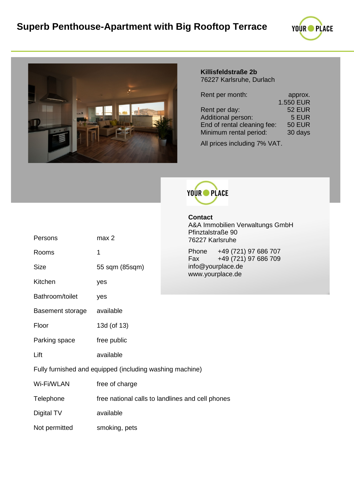



# **Killisfeldstraße 2b** 76227 Karlsruhe, Durlach

| Rent per month:             | approx.          |
|-----------------------------|------------------|
|                             | <b>1.550 EUR</b> |
| Rent per day:               | <b>52 EUR</b>    |
| Additional person:          | 5 EUR            |
| End of rental cleaning fee: | <b>50 EUR</b>    |
| Minimum rental period:      | 30 days          |
|                             |                  |

All prices including 7% VAT.



**Contact** A&A Immobilien Verwaltungs GmbH Pfinztalstraße 90 76227 Karlsruhe

686 707 686 709 info@yourplace.de www.yourplace.de

| Persons                                                  | max <sub>2</sub>                                 | Pfinztalstraße 90<br>76227 Karlsruhe         |  |
|----------------------------------------------------------|--------------------------------------------------|----------------------------------------------|--|
| Rooms                                                    | 1                                                | +49 (721) 97<br>Phone<br>+49 (721) 97<br>Fax |  |
| <b>Size</b>                                              | 55 sqm (85sqm)                                   | info@yourplace.de<br>www.yourplace.de        |  |
| Kitchen                                                  | yes                                              |                                              |  |
| Bathroom/toilet                                          | yes                                              |                                              |  |
| Basement storage                                         | available                                        |                                              |  |
| Floor                                                    | 13d (of 13)                                      |                                              |  |
| Parking space                                            | free public                                      |                                              |  |
| Lift                                                     | available                                        |                                              |  |
| Fully furnished and equipped (including washing machine) |                                                  |                                              |  |
| Wi-Fi/WLAN                                               | free of charge                                   |                                              |  |
| Telephone                                                | free national calls to landlines and cell phones |                                              |  |
| Digital TV                                               | available                                        |                                              |  |
| Not permitted                                            | smoking, pets                                    |                                              |  |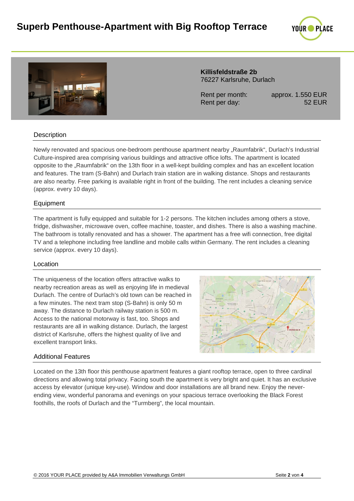



### **Killisfeldstraße 2b** 76227 Karlsruhe, Durlach

Rent per month: approx. 1.550 EUR Rent per day: 52 EUR

# **Description**

Newly renovated and spacious one-bedroom penthouse apartment nearby "Raumfabrik", Durlach's Industrial Culture-inspired area comprising various buildings and attractive office lofts. The apartment is located opposite to the "Raumfabrik" on the 13th floor in a well-kept building complex and has an excellent location and features. The tram (S-Bahn) and Durlach train station are in walking distance. Shops and restaurants are also nearby. Free parking is available right in front of the building. The rent includes a cleaning service (approx. every 10 days).

## Equipment

The apartment is fully equipped and suitable for 1-2 persons. The kitchen includes among others a stove, fridge, dishwasher, microwave oven, coffee machine, toaster, and dishes. There is also a washing machine. The bathroom is totally renovated and has a shower. The apartment has a free wifi connection, free digital TV and a telephone including free landline and mobile calls within Germany. The rent includes a cleaning service (approx. every 10 days).

#### Location

The uniqueness of the location offers attractive walks to nearby recreation areas as well as enjoying life in medieval Durlach. The centre of Durlach's old town can be reached in a few minutes. The next tram stop (S-Bahn) is only 50 m away. The distance to Durlach railway station is 500 m. Access to the national motorway is fast, too. Shops and restaurants are all in walking distance. Durlach, the largest district of Karlsruhe, offers the highest quality of live and excellent transport links.



#### Additional Features

Located on the 13th floor this penthouse apartment features a giant rooftop terrace, open to three cardinal directions and allowing total privacy. Facing south the apartment is very bright and quiet. It has an exclusive access by elevator (unique key-use). Window and door installations are all brand new. Enjoy the neverending view, wonderful panorama and evenings on your spacious terrace overlooking the Black Forest foothills, the roofs of Durlach and the "Turmberg", the local mountain.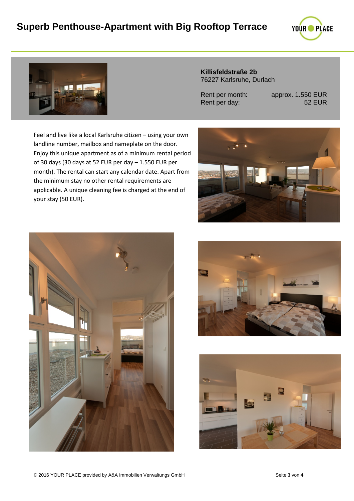# **Superb Penthouse-Apartment with Big Rooftop Terrace**





**Killisfeldstraße 2b** 76227 Karlsruhe, Durlach

Rent per day:

Rent per month: approx. 1.550 EUR<br>Rent per day: 52 EUR

Feel and live like a local Karlsruhe citizen – using your own landline number, mailbox and nameplate on the door. Enjoy this unique apartment as of a minimum rental period of 30 days (30 days at 52 EUR per day – 1.550 EUR per month). The rental can start any calendar date. Apart from the minimum stay no other rental requirements are applicable. A unique cleaning fee is charged at the end of your stay (50 EUR).